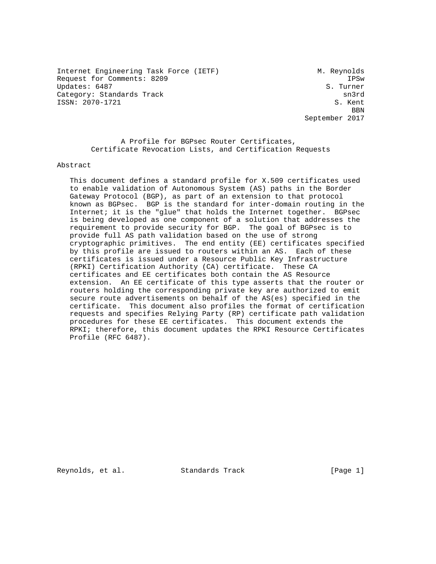Internet Engineering Task Force (IETF) M. Reynolds Request for Comments: 8209 IPSw Updates: 6487 Category: Standards Track sn3rd ISSN: 2070-1721 S. Kent

**BBN** September 2017

 A Profile for BGPsec Router Certificates, Certificate Revocation Lists, and Certification Requests

Abstract

 This document defines a standard profile for X.509 certificates used to enable validation of Autonomous System (AS) paths in the Border Gateway Protocol (BGP), as part of an extension to that protocol known as BGPsec. BGP is the standard for inter-domain routing in the Internet; it is the "glue" that holds the Internet together. BGPsec is being developed as one component of a solution that addresses the requirement to provide security for BGP. The goal of BGPsec is to provide full AS path validation based on the use of strong cryptographic primitives. The end entity (EE) certificates specified by this profile are issued to routers within an AS. Each of these certificates is issued under a Resource Public Key Infrastructure (RPKI) Certification Authority (CA) certificate. These CA certificates and EE certificates both contain the AS Resource extension. An EE certificate of this type asserts that the router or routers holding the corresponding private key are authorized to emit secure route advertisements on behalf of the AS(es) specified in the certificate. This document also profiles the format of certification requests and specifies Relying Party (RP) certificate path validation procedures for these EE certificates. This document extends the RPKI; therefore, this document updates the RPKI Resource Certificates Profile (RFC 6487).

Reynolds, et al. Standards Track [Page 1]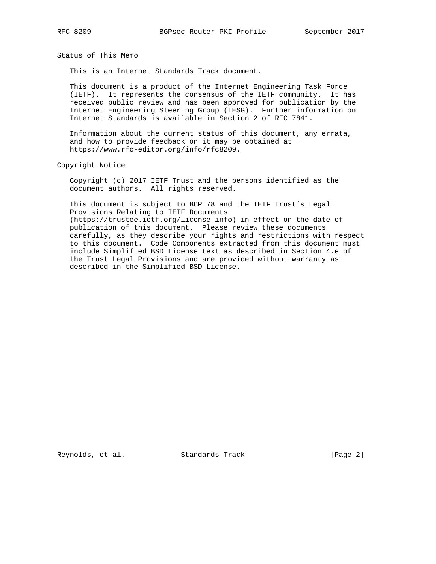Status of This Memo

This is an Internet Standards Track document.

 This document is a product of the Internet Engineering Task Force (IETF). It represents the consensus of the IETF community. It has received public review and has been approved for publication by the Internet Engineering Steering Group (IESG). Further information on Internet Standards is available in Section 2 of RFC 7841.

 Information about the current status of this document, any errata, and how to provide feedback on it may be obtained at https://www.rfc-editor.org/info/rfc8209.

Copyright Notice

 Copyright (c) 2017 IETF Trust and the persons identified as the document authors. All rights reserved.

 This document is subject to BCP 78 and the IETF Trust's Legal Provisions Relating to IETF Documents (https://trustee.ietf.org/license-info) in effect on the date of publication of this document. Please review these documents carefully, as they describe your rights and restrictions with respect to this document. Code Components extracted from this document must include Simplified BSD License text as described in Section 4.e of the Trust Legal Provisions and are provided without warranty as described in the Simplified BSD License.

Reynolds, et al. Standards Track [Page 2]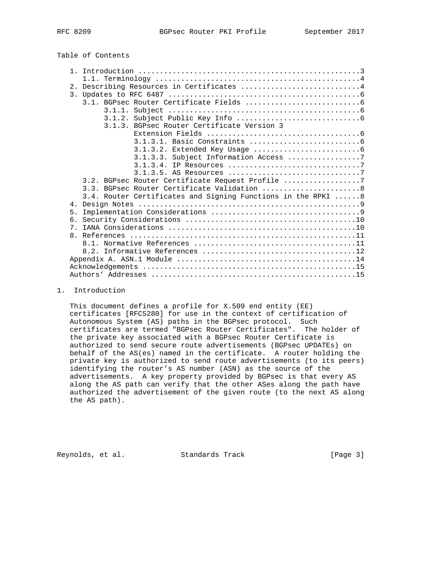| Table of Contents |  |
|-------------------|--|
|-------------------|--|

| Describing Resources in Certificates 4<br>2.                 |                                       |
|--------------------------------------------------------------|---------------------------------------|
| $\overline{3}$ .                                             |                                       |
|                                                              |                                       |
|                                                              |                                       |
|                                                              |                                       |
| 3.1.3. BGPsec Router Certificate Version 3                   |                                       |
|                                                              |                                       |
|                                                              |                                       |
|                                                              |                                       |
|                                                              | 3.1.3.3. Subject Information Access 7 |
|                                                              |                                       |
|                                                              |                                       |
| 3.2. BGPsec Router Certificate Request Profile 7             |                                       |
| 3.3. BGPsec Router Certificate Validation  8                 |                                       |
| 3.4. Router Certificates and Signing Functions in the RPKI 8 |                                       |
|                                                              |                                       |
| 5.                                                           |                                       |
|                                                              |                                       |
| 7.                                                           |                                       |
|                                                              |                                       |
|                                                              |                                       |
|                                                              |                                       |
|                                                              |                                       |
|                                                              |                                       |
|                                                              |                                       |

## 1. Introduction

 This document defines a profile for X.509 end entity (EE) certificates [RFC5280] for use in the context of certification of Autonomous System (AS) paths in the BGPsec protocol. Such certificates are termed "BGPsec Router Certificates". The holder of the private key associated with a BGPsec Router Certificate is authorized to send secure route advertisements (BGPsec UPDATEs) on behalf of the AS(es) named in the certificate. A router holding the private key is authorized to send route advertisements (to its peers) identifying the router's AS number (ASN) as the source of the advertisements. A key property provided by BGPsec is that every AS along the AS path can verify that the other ASes along the path have authorized the advertisement of the given route (to the next AS along the AS path).

Reynolds, et al. Standards Track [Page 3]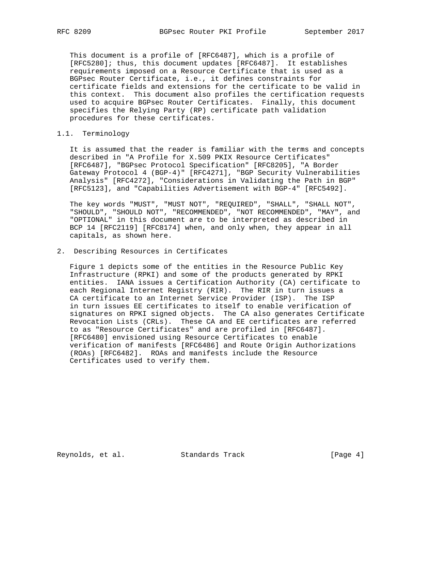This document is a profile of [RFC6487], which is a profile of [RFC5280]; thus, this document updates [RFC6487]. It establishes requirements imposed on a Resource Certificate that is used as a BGPsec Router Certificate, i.e., it defines constraints for certificate fields and extensions for the certificate to be valid in this context. This document also profiles the certification requests used to acquire BGPsec Router Certificates. Finally, this document specifies the Relying Party (RP) certificate path validation procedures for these certificates.

## 1.1. Terminology

 It is assumed that the reader is familiar with the terms and concepts described in "A Profile for X.509 PKIX Resource Certificates" [RFC6487], "BGPsec Protocol Specification" [RFC8205], "A Border Gateway Protocol 4 (BGP-4)" [RFC4271], "BGP Security Vulnerabilities Analysis" [RFC4272], "Considerations in Validating the Path in BGP" [RFC5123], and "Capabilities Advertisement with BGP-4" [RFC5492].

 The key words "MUST", "MUST NOT", "REQUIRED", "SHALL", "SHALL NOT", "SHOULD", "SHOULD NOT", "RECOMMENDED", "NOT RECOMMENDED", "MAY", and "OPTIONAL" in this document are to be interpreted as described in BCP 14 [RFC2119] [RFC8174] when, and only when, they appear in all capitals, as shown here.

2. Describing Resources in Certificates

 Figure 1 depicts some of the entities in the Resource Public Key Infrastructure (RPKI) and some of the products generated by RPKI entities. IANA issues a Certification Authority (CA) certificate to each Regional Internet Registry (RIR). The RIR in turn issues a CA certificate to an Internet Service Provider (ISP). The ISP in turn issues EE certificates to itself to enable verification of signatures on RPKI signed objects. The CA also generates Certificate Revocation Lists (CRLs). These CA and EE certificates are referred to as "Resource Certificates" and are profiled in [RFC6487]. [RFC6480] envisioned using Resource Certificates to enable verification of manifests [RFC6486] and Route Origin Authorizations (ROAs) [RFC6482]. ROAs and manifests include the Resource Certificates used to verify them.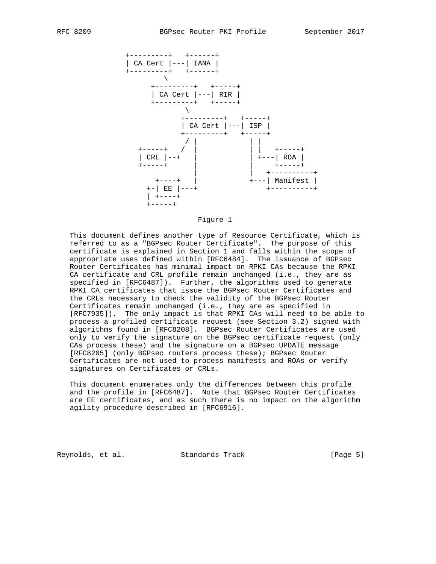

#### Figure 1

 This document defines another type of Resource Certificate, which is referred to as a "BGPsec Router Certificate". The purpose of this certificate is explained in Section 1 and falls within the scope of appropriate uses defined within [RFC6484]. The issuance of BGPsec Router Certificates has minimal impact on RPKI CAs because the RPKI CA certificate and CRL profile remain unchanged (i.e., they are as specified in [RFC6487]). Further, the algorithms used to generate RPKI CA certificates that issue the BGPsec Router Certificates and the CRLs necessary to check the validity of the BGPsec Router Certificates remain unchanged (i.e., they are as specified in [RFC7935]). The only impact is that RPKI CAs will need to be able to process a profiled certificate request (see Section 3.2) signed with algorithms found in [RFC8208]. BGPsec Router Certificates are used only to verify the signature on the BGPsec certificate request (only CAs process these) and the signature on a BGPsec UPDATE message [RFC8205] (only BGPsec routers process these); BGPsec Router Certificates are not used to process manifests and ROAs or verify signatures on Certificates or CRLs.

 This document enumerates only the differences between this profile and the profile in [RFC6487]. Note that BGPsec Router Certificates are EE certificates, and as such there is no impact on the algorithm agility procedure described in [RFC6916].

Reynolds, et al. Standards Track [Page 5]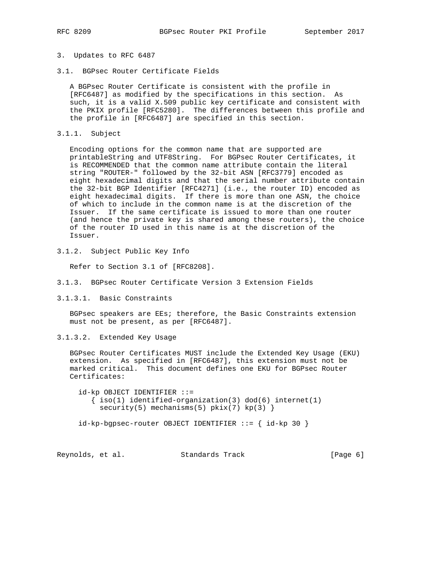### 3. Updates to RFC 6487

3.1. BGPsec Router Certificate Fields

 A BGPsec Router Certificate is consistent with the profile in [RFC6487] as modified by the specifications in this section. As such, it is a valid X.509 public key certificate and consistent with the PKIX profile [RFC5280]. The differences between this profile and the profile in [RFC6487] are specified in this section.

3.1.1. Subject

 Encoding options for the common name that are supported are printableString and UTF8String. For BGPsec Router Certificates, it is RECOMMENDED that the common name attribute contain the literal string "ROUTER-" followed by the 32-bit ASN [RFC3779] encoded as eight hexadecimal digits and that the serial number attribute contain the 32-bit BGP Identifier [RFC4271] (i.e., the router ID) encoded as eight hexadecimal digits. If there is more than one ASN, the choice of which to include in the common name is at the discretion of the Issuer. If the same certificate is issued to more than one router (and hence the private key is shared among these routers), the choice of the router ID used in this name is at the discretion of the Issuer.

3.1.2. Subject Public Key Info

Refer to Section 3.1 of [RFC8208].

- 3.1.3. BGPsec Router Certificate Version 3 Extension Fields
- 3.1.3.1. Basic Constraints

 BGPsec speakers are EEs; therefore, the Basic Constraints extension must not be present, as per [RFC6487].

3.1.3.2. Extended Key Usage

 BGPsec Router Certificates MUST include the Extended Key Usage (EKU) extension. As specified in [RFC6487], this extension must not be marked critical. This document defines one EKU for BGPsec Router Certificates:

 id-kp OBJECT IDENTIFIER ::=  $\{ iso(1)$  identified-organization(3) dod(6) internet(1)  $security(5)$  mechanisms(5)  $pkix(7) kp(3)$ }

id-kp-bgpsec-router OBJECT IDENTIFIER ::= { id-kp 30 }

Reynolds, et al. Standards Track [Page 6]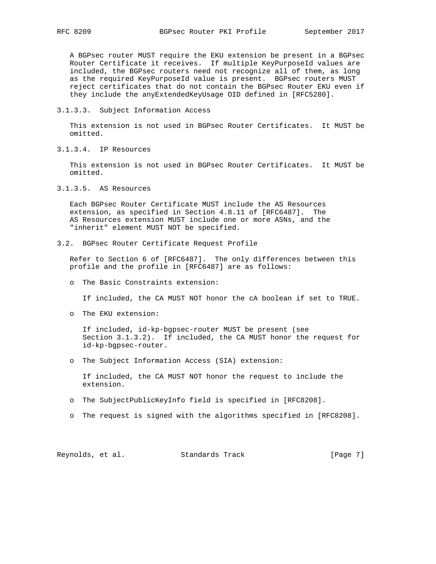A BGPsec router MUST require the EKU extension be present in a BGPsec Router Certificate it receives. If multiple KeyPurposeId values are included, the BGPsec routers need not recognize all of them, as long as the required KeyPurposeId value is present. BGPsec routers MUST reject certificates that do not contain the BGPsec Router EKU even if they include the anyExtendedKeyUsage OID defined in [RFC5280].

3.1.3.3. Subject Information Access

 This extension is not used in BGPsec Router Certificates. It MUST be omitted.

3.1.3.4. IP Resources

 This extension is not used in BGPsec Router Certificates. It MUST be omitted.

3.1.3.5. AS Resources

 Each BGPsec Router Certificate MUST include the AS Resources extension, as specified in Section 4.8.11 of [RFC6487]. The AS Resources extension MUST include one or more ASNs, and the "inherit" element MUST NOT be specified.

3.2. BGPsec Router Certificate Request Profile

 Refer to Section 6 of [RFC6487]. The only differences between this profile and the profile in [RFC6487] are as follows:

o The Basic Constraints extension:

If included, the CA MUST NOT honor the cA boolean if set to TRUE.

o The EKU extension:

 If included, id-kp-bgpsec-router MUST be present (see Section 3.1.3.2). If included, the CA MUST honor the request for id-kp-bgpsec-router.

o The Subject Information Access (SIA) extension:

 If included, the CA MUST NOT honor the request to include the extension.

- o The SubjectPublicKeyInfo field is specified in [RFC8208].
- o The request is signed with the algorithms specified in [RFC8208].

Reynolds, et al. Standards Track [Page 7]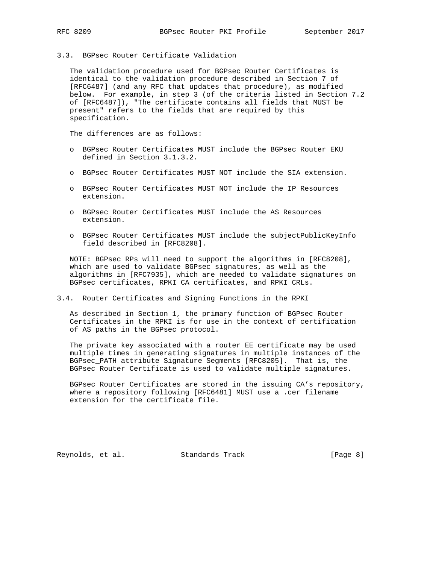3.3. BGPsec Router Certificate Validation

 The validation procedure used for BGPsec Router Certificates is identical to the validation procedure described in Section 7 of [RFC6487] (and any RFC that updates that procedure), as modified below. For example, in step 3 (of the criteria listed in Section 7.2 of [RFC6487]), "The certificate contains all fields that MUST be present" refers to the fields that are required by this specification.

The differences are as follows:

- o BGPsec Router Certificates MUST include the BGPsec Router EKU defined in Section 3.1.3.2.
- o BGPsec Router Certificates MUST NOT include the SIA extension.
- o BGPsec Router Certificates MUST NOT include the IP Resources extension.
- o BGPsec Router Certificates MUST include the AS Resources extension.
- o BGPsec Router Certificates MUST include the subjectPublicKeyInfo field described in [RFC8208].

 NOTE: BGPsec RPs will need to support the algorithms in [RFC8208], which are used to validate BGPsec signatures, as well as the algorithms in [RFC7935], which are needed to validate signatures on BGPsec certificates, RPKI CA certificates, and RPKI CRLs.

3.4. Router Certificates and Signing Functions in the RPKI

 As described in Section 1, the primary function of BGPsec Router Certificates in the RPKI is for use in the context of certification of AS paths in the BGPsec protocol.

 The private key associated with a router EE certificate may be used multiple times in generating signatures in multiple instances of the BGPsec\_PATH attribute Signature Segments [RFC8205]. That is, the BGPsec Router Certificate is used to validate multiple signatures.

 BGPsec Router Certificates are stored in the issuing CA's repository, where a repository following [RFC6481] MUST use a .cer filename extension for the certificate file.

Reynolds, et al. Standards Track [Page 8]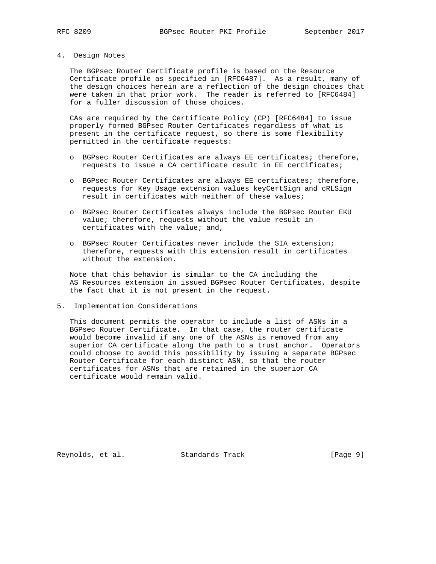#### 4. Design Notes

 The BGPsec Router Certificate profile is based on the Resource Certificate profile as specified in [RFC6487]. As a result, many of the design choices herein are a reflection of the design choices that were taken in that prior work. The reader is referred to [RFC6484] for a fuller discussion of those choices.

 CAs are required by the Certificate Policy (CP) [RFC6484] to issue properly formed BGPsec Router Certificates regardless of what is present in the certificate request, so there is some flexibility permitted in the certificate requests:

- o BGPsec Router Certificates are always EE certificates; therefore, requests to issue a CA certificate result in EE certificates;
- o BGPsec Router Certificates are always EE certificates; therefore, requests for Key Usage extension values keyCertSign and cRLSign result in certificates with neither of these values;
- o BGPsec Router Certificates always include the BGPsec Router EKU value; therefore, requests without the value result in certificates with the value; and,
- o BGPsec Router Certificates never include the SIA extension; therefore, requests with this extension result in certificates without the extension.

 Note that this behavior is similar to the CA including the AS Resources extension in issued BGPsec Router Certificates, despite the fact that it is not present in the request.

5. Implementation Considerations

 This document permits the operator to include a list of ASNs in a BGPsec Router Certificate. In that case, the router certificate would become invalid if any one of the ASNs is removed from any superior CA certificate along the path to a trust anchor. Operators could choose to avoid this possibility by issuing a separate BGPsec Router Certificate for each distinct ASN, so that the router certificates for ASNs that are retained in the superior CA certificate would remain valid.

Reynolds, et al. Standards Track [Page 9]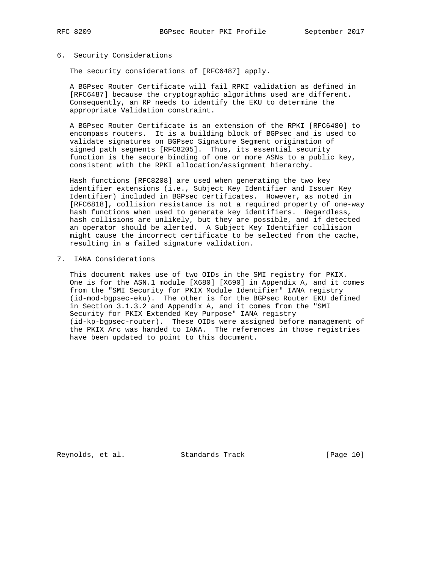## 6. Security Considerations

The security considerations of [RFC6487] apply.

 A BGPsec Router Certificate will fail RPKI validation as defined in [RFC6487] because the cryptographic algorithms used are different. Consequently, an RP needs to identify the EKU to determine the appropriate Validation constraint.

 A BGPsec Router Certificate is an extension of the RPKI [RFC6480] to encompass routers. It is a building block of BGPsec and is used to validate signatures on BGPsec Signature Segment origination of signed path segments [RFC8205]. Thus, its essential security function is the secure binding of one or more ASNs to a public key, consistent with the RPKI allocation/assignment hierarchy.

 Hash functions [RFC8208] are used when generating the two key identifier extensions (i.e., Subject Key Identifier and Issuer Key Identifier) included in BGPsec certificates. However, as noted in [RFC6818], collision resistance is not a required property of one-way hash functions when used to generate key identifiers. Regardless, hash collisions are unlikely, but they are possible, and if detected an operator should be alerted. A Subject Key Identifier collision might cause the incorrect certificate to be selected from the cache, resulting in a failed signature validation.

# 7. IANA Considerations

 This document makes use of two OIDs in the SMI registry for PKIX. One is for the ASN.1 module [X680] [X690] in Appendix A, and it comes from the "SMI Security for PKIX Module Identifier" IANA registry (id-mod-bgpsec-eku). The other is for the BGPsec Router EKU defined in Section 3.1.3.2 and Appendix A, and it comes from the "SMI Security for PKIX Extended Key Purpose" IANA registry (id-kp-bgpsec-router). These OIDs were assigned before management of the PKIX Arc was handed to IANA. The references in those registries have been updated to point to this document.

Reynolds, et al. Standards Track [Page 10]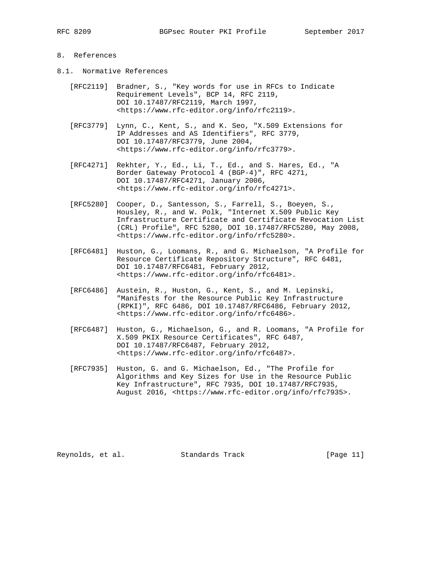# 8. References

- 8.1. Normative References
	- [RFC2119] Bradner, S., "Key words for use in RFCs to Indicate Requirement Levels", BCP 14, RFC 2119, DOI 10.17487/RFC2119, March 1997, <https://www.rfc-editor.org/info/rfc2119>.
	- [RFC3779] Lynn, C., Kent, S., and K. Seo, "X.509 Extensions for IP Addresses and AS Identifiers", RFC 3779, DOI 10.17487/RFC3779, June 2004, <https://www.rfc-editor.org/info/rfc3779>.
	- [RFC4271] Rekhter, Y., Ed., Li, T., Ed., and S. Hares, Ed., "A Border Gateway Protocol 4 (BGP-4)", RFC 4271, DOI 10.17487/RFC4271, January 2006, <https://www.rfc-editor.org/info/rfc4271>.
	- [RFC5280] Cooper, D., Santesson, S., Farrell, S., Boeyen, S., Housley, R., and W. Polk, "Internet X.509 Public Key Infrastructure Certificate and Certificate Revocation List (CRL) Profile", RFC 5280, DOI 10.17487/RFC5280, May 2008, <https://www.rfc-editor.org/info/rfc5280>.
	- [RFC6481] Huston, G., Loomans, R., and G. Michaelson, "A Profile for Resource Certificate Repository Structure", RFC 6481, DOI 10.17487/RFC6481, February 2012, <https://www.rfc-editor.org/info/rfc6481>.
	- [RFC6486] Austein, R., Huston, G., Kent, S., and M. Lepinski, "Manifests for the Resource Public Key Infrastructure (RPKI)", RFC 6486, DOI 10.17487/RFC6486, February 2012, <https://www.rfc-editor.org/info/rfc6486>.
	- [RFC6487] Huston, G., Michaelson, G., and R. Loomans, "A Profile for X.509 PKIX Resource Certificates", RFC 6487, DOI 10.17487/RFC6487, February 2012, <https://www.rfc-editor.org/info/rfc6487>.
	- [RFC7935] Huston, G. and G. Michaelson, Ed., "The Profile for Algorithms and Key Sizes for Use in the Resource Public Key Infrastructure", RFC 7935, DOI 10.17487/RFC7935, August 2016, <https://www.rfc-editor.org/info/rfc7935>.

Reynolds, et al. Standards Track [Page 11]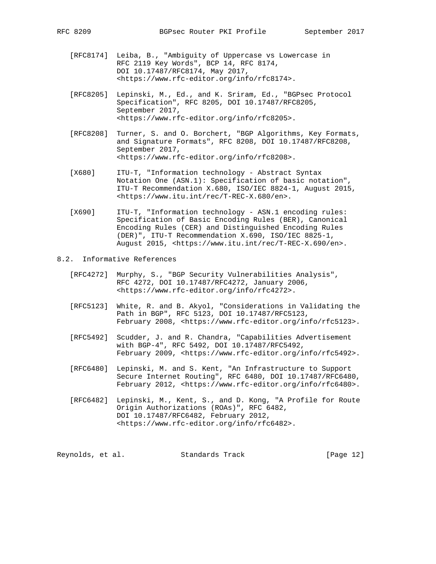- [RFC8174] Leiba, B., "Ambiguity of Uppercase vs Lowercase in RFC 2119 Key Words", BCP 14, RFC 8174, DOI 10.17487/RFC8174, May 2017, <https://www.rfc-editor.org/info/rfc8174>.
- [RFC8205] Lepinski, M., Ed., and K. Sriram, Ed., "BGPsec Protocol Specification", RFC 8205, DOI 10.17487/RFC8205, September 2017, <https://www.rfc-editor.org/info/rfc8205>.
- [RFC8208] Turner, S. and O. Borchert, "BGP Algorithms, Key Formats, and Signature Formats", RFC 8208, DOI 10.17487/RFC8208, September 2017, <https://www.rfc-editor.org/info/rfc8208>.
- [X680] ITU-T, "Information technology Abstract Syntax Notation One (ASN.1): Specification of basic notation", ITU-T Recommendation X.680, ISO/IEC 8824-1, August 2015, <https://www.itu.int/rec/T-REC-X.680/en>.
- [X690] ITU-T, "Information technology ASN.1 encoding rules: Specification of Basic Encoding Rules (BER), Canonical Encoding Rules (CER) and Distinguished Encoding Rules (DER)", ITU-T Recommendation X.690, ISO/IEC 8825-1, August 2015, <https://www.itu.int/rec/T-REC-X.690/en>.

# 8.2. Informative References

- [RFC4272] Murphy, S., "BGP Security Vulnerabilities Analysis", RFC 4272, DOI 10.17487/RFC4272, January 2006, <https://www.rfc-editor.org/info/rfc4272>.
- [RFC5123] White, R. and B. Akyol, "Considerations in Validating the Path in BGP", RFC 5123, DOI 10.17487/RFC5123, February 2008, <https://www.rfc-editor.org/info/rfc5123>.
- [RFC5492] Scudder, J. and R. Chandra, "Capabilities Advertisement with BGP-4", RFC 5492, DOI 10.17487/RFC5492, February 2009, <https://www.rfc-editor.org/info/rfc5492>.
- [RFC6480] Lepinski, M. and S. Kent, "An Infrastructure to Support Secure Internet Routing", RFC 6480, DOI 10.17487/RFC6480, February 2012, <https://www.rfc-editor.org/info/rfc6480>.
- [RFC6482] Lepinski, M., Kent, S., and D. Kong, "A Profile for Route Origin Authorizations (ROAs)", RFC 6482, DOI 10.17487/RFC6482, February 2012, <https://www.rfc-editor.org/info/rfc6482>.

| Reynolds, et al. | Standards Track | [Page $12$ ] |
|------------------|-----------------|--------------|
|------------------|-----------------|--------------|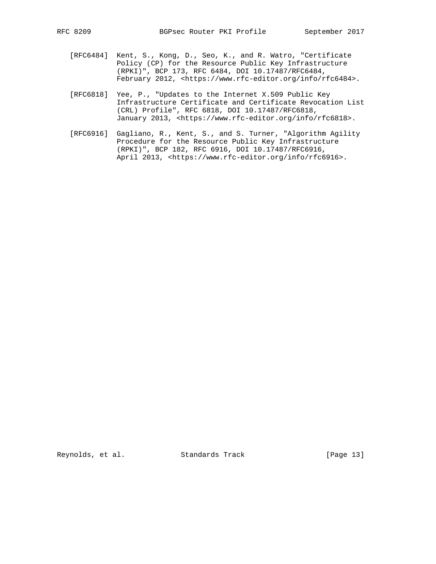- [RFC6484] Kent, S., Kong, D., Seo, K., and R. Watro, "Certificate Policy (CP) for the Resource Public Key Infrastructure (RPKI)", BCP 173, RFC 6484, DOI 10.17487/RFC6484, February 2012, <https://www.rfc-editor.org/info/rfc6484>.
- [RFC6818] Yee, P., "Updates to the Internet X.509 Public Key Infrastructure Certificate and Certificate Revocation List (CRL) Profile", RFC 6818, DOI 10.17487/RFC6818, January 2013, <https://www.rfc-editor.org/info/rfc6818>.
- [RFC6916] Gagliano, R., Kent, S., and S. Turner, "Algorithm Agility Procedure for the Resource Public Key Infrastructure (RPKI)", BCP 182, RFC 6916, DOI 10.17487/RFC6916, April 2013, <https://www.rfc-editor.org/info/rfc6916>.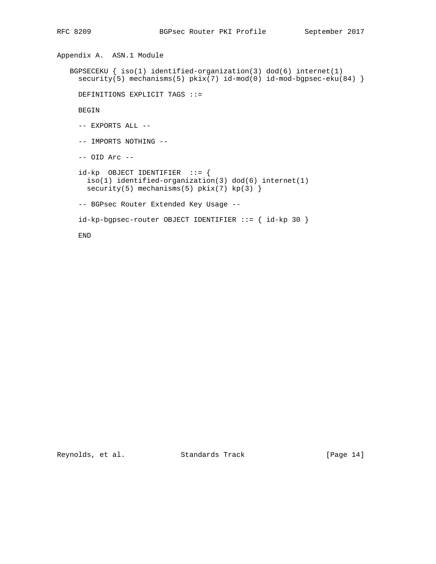Appendix A. ASN.1 Module BGPSECEKU  $\{ iso(1)$  identified-organization(3) dod(6) internet(1) security(5) mechanisms(5) pkix(7) id-mod(0) id-mod-bgpsec-eku(84) } DEFINITIONS EXPLICIT TAGS ::= BEGIN -- EXPORTS ALL -- -- IMPORTS NOTHING -- -- OID Arc - id-kp OBJECT IDENTIFIER ::= { iso(1) identified-organization(3) dod(6) internet(1) security(5) mechanisms(5)  $pkix(7) kp(3)$  -- BGPsec Router Extended Key Usage - id-kp-bgpsec-router OBJECT IDENTIFIER ::= { id-kp 30 } END